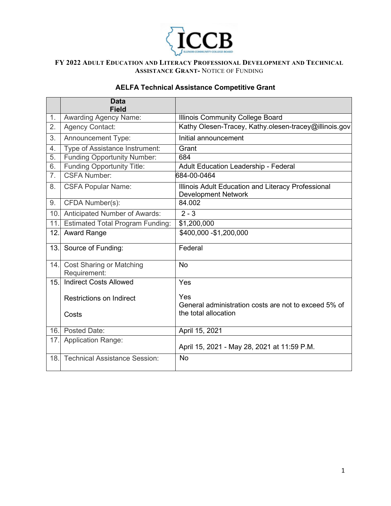

# **AELFA Technical Assistance Competitive Grant**

|                | <b>Data</b><br><b>Field</b>                     |                                                                                     |  |
|----------------|-------------------------------------------------|-------------------------------------------------------------------------------------|--|
| 1.             | <b>Awarding Agency Name:</b>                    | <b>Illinois Community College Board</b>                                             |  |
| 2.             | <b>Agency Contact:</b>                          | Kathy Olesen-Tracey, Kathy olesen-tracey@illinois.gov                               |  |
| 3.             | <b>Announcement Type:</b>                       | Initial announcement                                                                |  |
| 4.             | Type of Assistance Instrument:                  | Grant                                                                               |  |
| 5.             | <b>Funding Opportunity Number:</b>              | 684                                                                                 |  |
| 6.             | <b>Funding Opportunity Title:</b>               | Adult Education Leadership - Federal                                                |  |
| 7 <sub>1</sub> | <b>CSFA Number:</b>                             | 684-00-0464                                                                         |  |
| 8.             | <b>CSFA Popular Name:</b>                       | Illinois Adult Education and Literacy Professional<br><b>Development Network</b>    |  |
| 9.             | CFDA Number(s):                                 | 84.002                                                                              |  |
| 10.            | Anticipated Number of Awards:                   | $2 - 3$                                                                             |  |
| 11.            | <b>Estimated Total Program Funding:</b>         | \$1,200,000                                                                         |  |
| 12.            | <b>Award Range</b>                              | \$400,000 - \$1,200,000                                                             |  |
| 13.            | Source of Funding:                              | Federal                                                                             |  |
| 14.            | <b>Cost Sharing or Matching</b><br>Requirement: | <b>No</b>                                                                           |  |
| 15.            | <b>Indirect Costs Allowed</b>                   | Yes                                                                                 |  |
|                | <b>Restrictions on Indirect</b>                 | Yes<br>General administration costs are not to exceed 5% of<br>the total allocation |  |
|                | Costs                                           |                                                                                     |  |
|                | 16. Posted Date:                                | April 15, 2021                                                                      |  |
| 17.            | <b>Application Range:</b>                       | April 15, 2021 - May 28, 2021 at 11:59 P.M.                                         |  |
| 18.            | <b>Technical Assistance Session:</b>            | <b>No</b>                                                                           |  |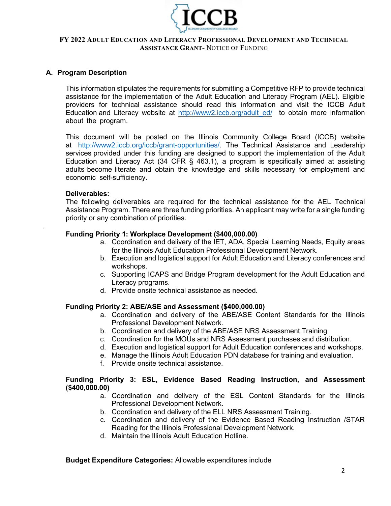

## **A. Program Description**

This information stipulates the requirements for submitting a Competitive RFP to provide technical assistance for the implementation of the Adult Education and Literacy Program (AEL). Eligible providers for technical assistance should read this information and visit the ICCB Adult Education and Literacy website at http://www2.iccb.org/adult ed/ to obtain more information about the program.

This document will be posted on the Illinois Community College Board (ICCB) website at http://www2[.iccb.org/iccb/grant-opportunit](http://www2.iccb.org/iccb/grant-opportunities/)ies/. The Technical Assistance and Leadership services provided under this funding are designed to support the implementation of the Adult Education and Literacy Act (34 CFR § 463.1), a program is specifically aimed at assisting adults become literate and obtain the knowledge and skills necessary for employment and economic self-sufficiency.

### **Deliverables:**

.

The following deliverables are required for the technical assistance for the AEL Technical Assistance Program. There are three funding priorities. An applicant may write for a single funding priority or any combination of priorities.

## **Funding Priority 1: Workplace Development (\$400,000.00)**

- a. Coordination and delivery of the IET, ADA, Special Learning Needs, Equity areas for the Illinois Adult Education Professional Development Network.
- b. Execution and logistical support for Adult Education and Literacy conferences and workshops.
- c. Supporting ICAPS and Bridge Program development for the Adult Education and Literacy programs.
- d. Provide onsite technical assistance as needed.

#### **Funding Priority 2: ABE/ASE and Assessment (\$400,000.00)**

- a. Coordination and delivery of the ABE/ASE Content Standards for the Illinois Professional Development Network.
- b. Coordination and delivery of the ABE/ASE NRS Assessment Training
- c. Coordination for the MOUs and NRS Assessment purchases and distribution.
- d. Execution and logistical support for Adult Education conferences and workshops.
- e. Manage the Illinois Adult Education PDN database for training and evaluation.
- f. Provide onsite technical assistance.

### **Funding Priority 3: ESL, Evidence Based Reading Instruction, and Assessment (\$400,000.00)**

- a. Coordination and delivery of the ESL Content Standards for the Illinois Professional Development Network.
- b. Coordination and delivery of the ELL NRS Assessment Training.
- c. Coordination and delivery of the Evidence Based Reading Instruction /STAR Reading for the Illinois Professional Development Network.
- d. Maintain the Illinois Adult Education Hotline.

#### **Budget Expenditure Categories:** Allowable expenditures include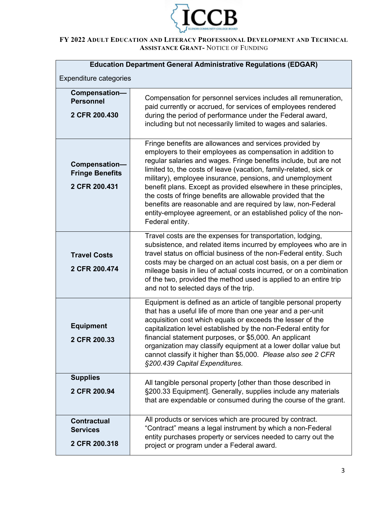

| <b>Education Department General Administrative Regulations (EDGAR)</b> |                                                                                                                                                                                                                                                                                                                                                                                                                                                                                                                                                                                                                        |  |  |  |  |
|------------------------------------------------------------------------|------------------------------------------------------------------------------------------------------------------------------------------------------------------------------------------------------------------------------------------------------------------------------------------------------------------------------------------------------------------------------------------------------------------------------------------------------------------------------------------------------------------------------------------------------------------------------------------------------------------------|--|--|--|--|
| <b>Expenditure categories</b>                                          |                                                                                                                                                                                                                                                                                                                                                                                                                                                                                                                                                                                                                        |  |  |  |  |
| Compensation-<br><b>Personnel</b><br>2 CFR 200.430                     | Compensation for personnel services includes all remuneration,<br>paid currently or accrued, for services of employees rendered<br>during the period of performance under the Federal award,<br>including but not necessarily limited to wages and salaries.                                                                                                                                                                                                                                                                                                                                                           |  |  |  |  |
| Compensation-<br><b>Fringe Benefits</b><br>2 CFR 200.431               | Fringe benefits are allowances and services provided by<br>employers to their employees as compensation in addition to<br>regular salaries and wages. Fringe benefits include, but are not<br>limited to, the costs of leave (vacation, family-related, sick or<br>military), employee insurance, pensions, and unemployment<br>benefit plans. Except as provided elsewhere in these principles,<br>the costs of fringe benefits are allowable provided that the<br>benefits are reasonable and are required by law, non-Federal<br>entity-employee agreement, or an established policy of the non-<br>Federal entity. |  |  |  |  |
| <b>Travel Costs</b><br>2 CFR 200.474                                   | Travel costs are the expenses for transportation, lodging,<br>subsistence, and related items incurred by employees who are in<br>travel status on official business of the non-Federal entity. Such<br>costs may be charged on an actual cost basis, on a per diem or<br>mileage basis in lieu of actual costs incurred, or on a combination<br>of the two, provided the method used is applied to an entire trip<br>and not to selected days of the trip.                                                                                                                                                             |  |  |  |  |
| <b>Equipment</b><br>2 CFR 200.33                                       | Equipment is defined as an article of tangible personal property<br>that has a useful life of more than one year and a per-unit<br>acquisition cost which equals or exceeds the lesser of the<br>capitalization level established by the non-Federal entity for<br>financial statement purposes, or \$5,000. An applicant<br>organization may classify equipment at a lower dollar value but<br>cannot classify it higher than \$5,000. Please also see 2 CFR<br>§200.439 Capital Expenditures.                                                                                                                        |  |  |  |  |
| <b>Supplies</b><br>2 CFR 200.94                                        | All tangible personal property [other than those described in<br>§200.33 Equipment]. Generally, supplies include any materials<br>that are expendable or consumed during the course of the grant.                                                                                                                                                                                                                                                                                                                                                                                                                      |  |  |  |  |
| <b>Contractual</b><br><b>Services</b><br>2 CFR 200.318                 | All products or services which are procured by contract.<br>"Contract" means a legal instrument by which a non-Federal<br>entity purchases property or services needed to carry out the<br>project or program under a Federal award.                                                                                                                                                                                                                                                                                                                                                                                   |  |  |  |  |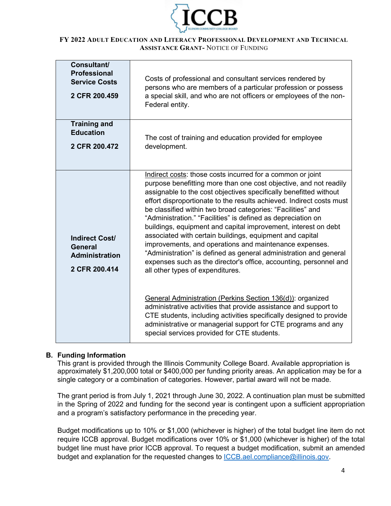

| <b>Consultant/</b><br><b>Professional</b><br><b>Service Costs</b><br>2 CFR 200.459 | Costs of professional and consultant services rendered by<br>persons who are members of a particular profession or possess<br>a special skill, and who are not officers or employees of the non-<br>Federal entity.                                                                                                                                                                                                                                                                                                                                                                                                                                                                                                                                                                                                                                                                                                                                                                                                                                         |
|------------------------------------------------------------------------------------|-------------------------------------------------------------------------------------------------------------------------------------------------------------------------------------------------------------------------------------------------------------------------------------------------------------------------------------------------------------------------------------------------------------------------------------------------------------------------------------------------------------------------------------------------------------------------------------------------------------------------------------------------------------------------------------------------------------------------------------------------------------------------------------------------------------------------------------------------------------------------------------------------------------------------------------------------------------------------------------------------------------------------------------------------------------|
| <b>Training and</b><br><b>Education</b><br>2 CFR 200.472                           | The cost of training and education provided for employee<br>development.                                                                                                                                                                                                                                                                                                                                                                                                                                                                                                                                                                                                                                                                                                                                                                                                                                                                                                                                                                                    |
| <b>Indirect Cost/</b><br><b>General</b><br><b>Administration</b><br>2 CFR 200.414  | Indirect costs: those costs incurred for a common or joint<br>purpose benefitting more than one cost objective, and not readily<br>assignable to the cost objectives specifically benefitted without<br>effort disproportionate to the results achieved. Indirect costs must<br>be classified within two broad categories: "Facilities" and<br>"Administration." "Facilities" is defined as depreciation on<br>buildings, equipment and capital improvement, interest on debt<br>associated with certain buildings, equipment and capital<br>improvements, and operations and maintenance expenses.<br>"Administration" is defined as general administration and general<br>expenses such as the director's office, accounting, personnel and<br>all other types of expenditures.<br>General Administration (Perkins Section 136(d)): organized<br>administrative activities that provide assistance and support to<br>CTE students, including activities specifically designed to provide<br>administrative or managerial support for CTE programs and any |

## **B. Funding Information**

This grant is provided through the Illinois Community College Board. Available appropriation is approximately \$1,200,000 total or \$400,000 per funding priority areas. An application may be for a single category or a combination of categories. However, partial award will not be made.

The grant period is from July 1, 2021 through June 30, 2022. A continuation plan must be submitted in the Spring of 2022 and funding for the second year is contingent upon a sufficient appropriation and a program's satisfactory performance in the preceding year.

Budget modifications up to 10% or \$1,000 (whichever is higher) of the total budget line item do not require ICCB approval. Budget modifications over 10% or \$1,000 (whichever is higher) of the total budget line must have prior ICCB approval. To request a budget modification, submit an amended budget and explanation for the requested changes to [ICCB.ael.compliance@illinois.gov.](mailto:ICCB.ael.compliance@illinois.gov)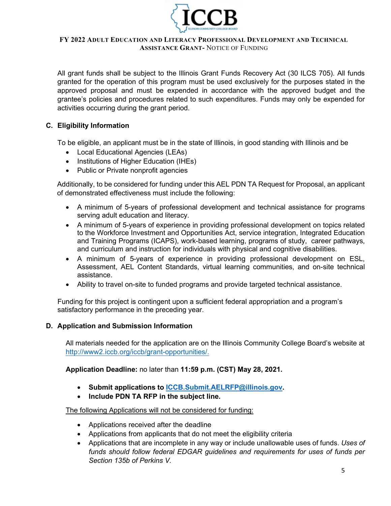

All grant funds shall be subject to the Illinois Grant Funds Recovery Act (30 ILCS 705). All funds granted for the operation of this program must be used exclusively for the purposes stated in the approved proposal and must be expended in accordance with the approved budget and the grantee's policies and procedures related to such expenditures. Funds may only be expended for activities occurring during the grant period.

## **C. Eligibility Information**

To be eligible, an applicant must be in the state of Illinois, in good standing with Illinois and be

- Local Educational Agencies (LEAs)
- Institutions of Higher Education (IHEs)
- Public or Private nonprofit agencies

Additionally, to be considered for funding under this AEL PDN TA Request for Proposal, an applicant of demonstrated effectiveness must include the following:

- A minimum of 5-years of professional development and technical assistance for programs serving adult education and literacy.
- A minimum of 5-years of experience in providing professional development on topics related to the Workforce Investment and Opportunities Act, service integration, Integrated Education and Training Programs (ICAPS), work-based learning, programs of study, career pathways, and curriculum and instruction for individuals with physical and cognitive disabilities.
- A minimum of 5-years of experience in providing professional development on ESL, Assessment, AEL Content Standards, virtual learning communities, and on-site technical assistance.
- Ability to travel on-site to funded programs and provide targeted technical assistance.

Funding for this project is contingent upon a sufficient federal appropriation and a program's satisfactory performance in the preceding year.

#### **D. Application and Submission Information**

All materials needed for the application are on the Illinois Community College Board's website at http://www2[.iccb.org/iccb/grant-opportunities/](http://www2.iccb.org/iccb/grant-opportunities/).

**Application Deadline:** no later than **11:59 p.m. (CST) May 28, 2021.**

- **Submit applications to [ICCB.Submit.AELRFP@illinois.gov.](mailto:ICCB.Submit.AELRFP@illinois.gov)**
- **Include PDN TA RFP in the subject line.**

The following Applications will not be considered for funding:

- Applications received after the deadline
- Applications from applicants that do not meet the eligibility criteria
- Applications that are incomplete in any way or include unallowable uses of funds. *Uses of funds should follow federal EDGAR guidelines and requirements for uses of funds per Section 135b of Perkins V.*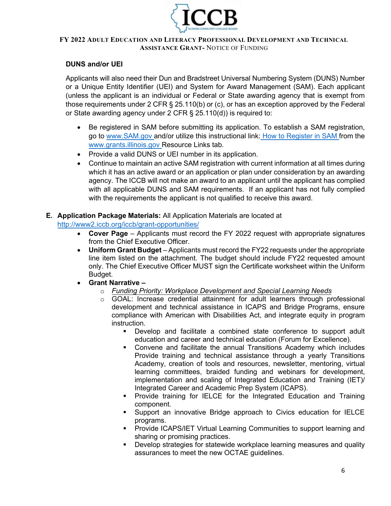

## **DUNS and/or UEI**

Applicants will also need their Dun and Bradstreet Universal Numbering System (DUNS) Number or a Unique Entity Identifier (UEI) and System for Award Management (SAM). Each applicant (unless the applicant is an individual or Federal or State awarding agency that is exempt from those requirements under 2 CFR § 25.110(b) or (c), or has an exception approved by the Federal or State awarding agency under 2 CFR § 25.110(d)) is required to:

- Be registered in SAM before submitting its application. To establish a SAM registration, go to [www.SAM.gov a](http://www.sam.gov/)nd/or utilize this instructional link: [How to](https://www.illinois.gov/sites/GATA/Documents/How%20to%20Register%20in%20SAMS.pdf) [Register in SAM f](https://www.illinois.gov/sites/GATA/Documents/How%20to%20Register%20in%20SAMS.pdf)rom th[e](http://www.grants.illinois.gov/) [www.grants.illinois.gov R](http://www.grants.illinois.gov/)esource Links tab.
- Provide a valid DUNS or UEI number in its application.
- Continue to maintain an active SAM registration with current information at all times during which it has an active award or an application or plan under consideration by an awarding agency. The ICCB will not make an award to an applicant until the applicant has complied with all applicable DUNS and SAM requirements. If an applicant has not fully complied with the requirements the applicant is not qualified to receive this award.

## **E. Application Package Materials:** All Application Materials are located at

http://www2[.iccb.org/iccb/grant-opportunities/](http://www2.iccb.org/iccb/grant-opportunities/)

- **Cover Page** Applicants must record the FY 2022 request with appropriate signatures from the Chief Executive Officer.
- **Uniform Grant Budget** Applicants must record the FY22 requests under the appropriate line item listed on the attachment. The budget should include FY22 requested amount only. The Chief Executive Officer MUST sign the Certificate worksheet within the Uniform Budget.
- **Grant Narrative –**
	- o *Funding Priority: Workplace Development and Special Learning Needs*
	- $\circ$  GOAL: Increase credential attainment for adult learners through professional development and technical assistance in ICAPS and Bridge Programs, ensure compliance with American with Disabilities Act, and integrate equity in program instruction.
		- Develop and facilitate a combined state conference to support adult education and career and technical education (Forum for Excellence).
		- Convene and facilitate the annual Transitions Academy which includes Provide training and technical assistance through a yearly Transitions Academy, creation of tools and resources, newsletter, mentoring, virtual learning committees, braided funding and webinars for development, implementation and scaling of Integrated Education and Training (IET)/ Integrated Career and Academic Prep System (ICAPS).
		- **Provide training for IELCE for the Integrated Education and Training** component.
		- Support an innovative Bridge approach to Civics education for IELCE programs.
		- **Provide ICAPS/IET Virtual Learning Communities to support learning and** sharing or promising practices.
		- Develop strategies for statewide workplace learning measures and quality assurances to meet the new OCTAE guidelines.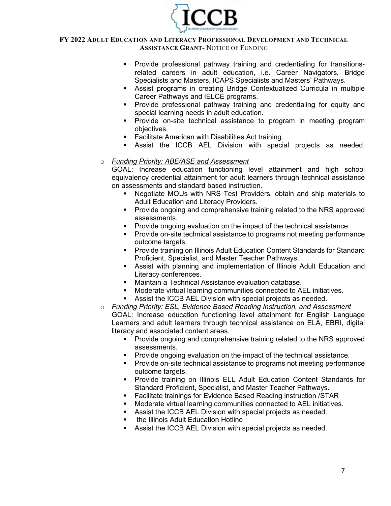

- Provide professional pathway training and credentialing for transitionsrelated careers in adult education, i.e. Career Navigators, Bridge Specialists and Masters, ICAPS Specialists and Masters' Pathways.
- Assist programs in creating Bridge Contextualized Curricula in multiple Career Pathways and IELCE programs.
- **Provide professional pathway training and credentialing for equity and** special learning needs in adult education.
- Provide on-site technical assistance to program in meeting program objectives.
- **Facilitate American with Disabilities Act training.**
- Assist the ICCB AEL Division with special projects as needed.

## o *Funding Priority: ABE/ASE and Assessment*

GOAL: Increase education functioning level attainment and high school equivalency credential attainment for adult learners through technical assistance on assessments and standard based instruction.

- Negotiate MOUs with NRS Test Providers, obtain and ship materials to Adult Education and Literacy Providers.
- Provide ongoing and comprehensive training related to the NRS approved assessments.
- **Provide ongoing evaluation on the impact of the technical assistance.**
- **Provide on-site technical assistance to programs not meeting performance** outcome targets.
- Provide training on Illinois Adult Education Content Standards for Standard Proficient, Specialist, and Master Teacher Pathways.
- Assist with planning and implementation of Illinois Adult Education and Literacy conferences.
- Maintain a Technical Assistance evaluation database.
- Moderate virtual learning communities connected to AEL initiatives.
- Assist the ICCB AEL Division with special projects as needed.
- o *Funding Priority: ESL, Evidence Based Reading Instruction, and Assessment*  GOAL: Increase education functioning level attainment for English Language Learners and adult learners through technical assistance on ELA, EBRI, digital literacy and associated content areas.
	- Provide ongoing and comprehensive training related to the NRS approved assessments.
	- **Provide ongoing evaluation on the impact of the technical assistance.**
	- **Provide on-site technical assistance to programs not meeting performance** outcome targets.
	- Provide training on Illinois ELL Adult Education Content Standards for Standard Proficient, Specialist, and Master Teacher Pathways.
	- Facilitate trainings for Evidence Based Reading instruction /STAR
	- **•** Moderate virtual learning communities connected to AEL initiatives.
	- Assist the ICCB AEL Division with special projects as needed.
	- **the Illinois Adult Education Hotline**
	- Assist the ICCB AEL Division with special projects as needed.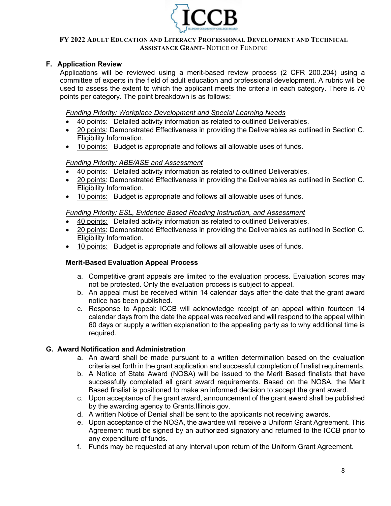

## **F. Application Review**

Applications will be reviewed using a merit-based review process (2 CFR 200.204) using a committee of experts in the field of adult education and professional development. A rubric will be used to assess the extent to which the applicant meets the criteria in each category. There is 70 points per category. The point breakdown is as follows:

*Funding Priority: Workplace Development and Special Learning Needs*

- 40 points: Detailed activity information as related to outlined Deliverables.
- 20 points: Demonstrated Effectiveness in providing the Deliverables as outlined in Section C. Eligibility Information.
- 10 points: Budget is appropriate and follows all allowable uses of funds.

## *Funding Priority: ABE/ASE and Assessment*

- 40 points: Detailed activity information as related to outlined Deliverables.
- 20 points: Demonstrated Effectiveness in providing the Deliverables as outlined in Section C. Eligibility Information.
- 10 points: Budget is appropriate and follows all allowable uses of funds.

### *Funding Priority: ESL, Evidence Based Reading Instruction, and Assessment*

- 40 points: Detailed activity information as related to outlined Deliverables.
- 20 points: Demonstrated Effectiveness in providing the Deliverables as outlined in Section C. Eligibility Information.
- 10 points: Budget is appropriate and follows all allowable uses of funds.

## **Merit-Based Evaluation Appeal Process**

- a. Competitive grant appeals are limited to the evaluation process. Evaluation scores may not be protested. Only the evaluation process is subject to appeal.
- b. An appeal must be received within 14 calendar days after the date that the grant award notice has been published.
- c. Response to Appeal: ICCB will acknowledge receipt of an appeal within fourteen 14 calendar days from the date the appeal was received and will respond to the appeal within 60 days or supply a written explanation to the appealing party as to why additional time is required.

#### **G. Award Notification and Administration**

- a. An award shall be made pursuant to a written determination based on the evaluation criteria set forth in the grant application and successful completion of finalist requirements.
- b. A Notice of State Award (NOSA) will be issued to the Merit Based finalists that have successfully completed all grant award requirements. Based on the NOSA, the Merit Based finalist is positioned to make an informed decision to accept the grant award.
- c. Upon acceptance of the grant award, announcement of the grant award shall be published by the awarding agency to Grants.Illinois.gov.
- d. A written Notice of Denial shall be sent to the applicants not receiving awards.
- e. Upon acceptance of the NOSA, the awardee will receive a Uniform Grant Agreement. This Agreement must be signed by an authorized signatory and returned to the ICCB prior to any expenditure of funds.
- f. Funds may be requested at any interval upon return of the Uniform Grant Agreement.